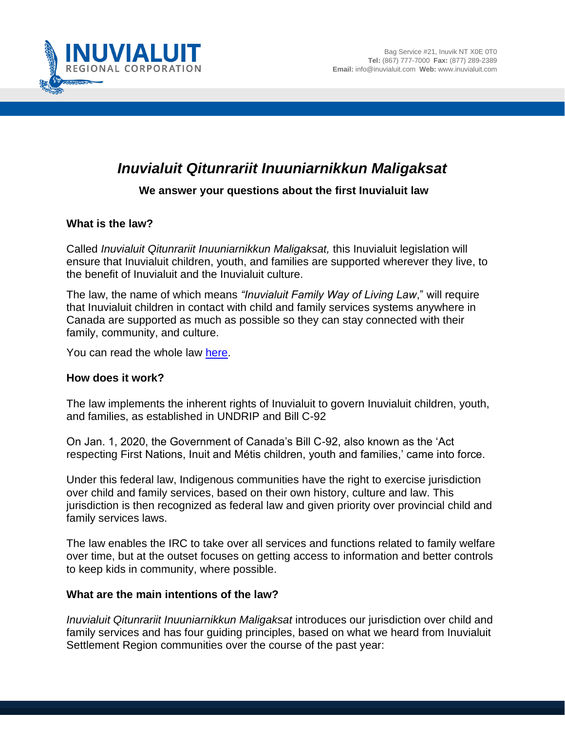

# *Inuvialuit Qitunrariit Inuuniarnikkun Maligaksat*

# **We answer your questions about the first Inuvialuit law**

#### **What is the law?**

Called *Inuvialuit Qitunrariit Inuuniarnikkun Maligaksat,* this Inuvialuit legislation will ensure that Inuvialuit children, youth, and families are supported wherever they live, to the benefit of Inuvialuit and the Inuvialuit culture.

The law, the name of which means *"Inuvialuit Family Way of Living Law*," will require that Inuvialuit children in contact with child and family services systems anywhere in Canada are supported as much as possible so they can stay connected with their family, community, and culture.

You can read the whole law [here.](https://irc.inuvialuit.com/registry)

#### **How does it work?**

The law implements the inherent rights of Inuvialuit to govern Inuvialuit children, youth, and families, as established in UNDRIP and Bill C-92

On Jan. 1, 2020, the Government of Canada's Bill C-92, also known as the 'Act respecting First Nations, Inuit and Métis children, youth and families,' came into force.

Under this federal law, Indigenous communities have the right to exercise jurisdiction over child and family services, based on their own history, culture and law. This jurisdiction is then recognized as federal law and given priority over provincial child and family services laws.

The law enables the IRC to take over all services and functions related to family welfare over time, but at the outset focuses on getting access to information and better controls to keep kids in community, where possible.

#### **What are the main intentions of the law?**

*Inuvialuit Qitunrariit Inuuniarnikkun Maligaksat* introduces our jurisdiction over child and family services and has four guiding principles, based on what we heard from Inuvialuit Settlement Region communities over the course of the past year: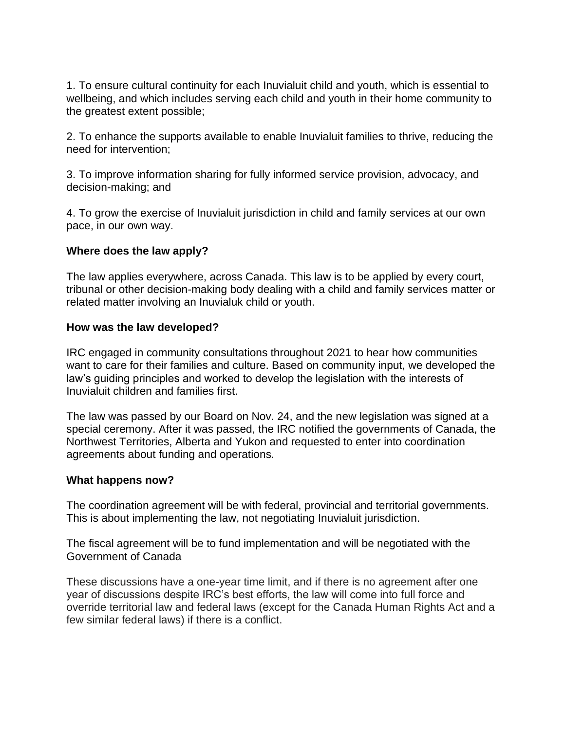1. To ensure cultural continuity for each Inuvialuit child and youth, which is essential to wellbeing, and which includes serving each child and youth in their home community to the greatest extent possible;

2. To enhance the supports available to enable Inuvialuit families to thrive, reducing the need for intervention;

3. To improve information sharing for fully informed service provision, advocacy, and decision-making; and

4. To grow the exercise of Inuvialuit jurisdiction in child and family services at our own pace, in our own way.

# **Where does the law apply?**

The law applies everywhere, across Canada. This law is to be applied by every court, tribunal or other decision-making body dealing with a child and family services matter or related matter involving an Inuvialuk child or youth.

## **How was the law developed?**

IRC engaged in community consultations throughout 2021 to hear how communities want to care for their families and culture. Based on community input, we developed the law's guiding principles and worked to develop the legislation with the interests of Inuvialuit children and families first.

The law was passed by our Board on Nov. 24, and the new legislation was signed at a special ceremony. After it was passed, the IRC notified the governments of Canada, the Northwest Territories, Alberta and Yukon and requested to enter into coordination agreements about funding and operations.

## **What happens now?**

The coordination agreement will be with federal, provincial and territorial governments. This is about implementing the law, not negotiating Inuvialuit jurisdiction.

The fiscal agreement will be to fund implementation and will be negotiated with the Government of Canada

These discussions have a one-year time limit, and if there is no agreement after one year of discussions despite IRC's best efforts, the law will come into full force and override territorial law and federal laws (except for the Canada Human Rights Act and a few similar federal laws) if there is a conflict.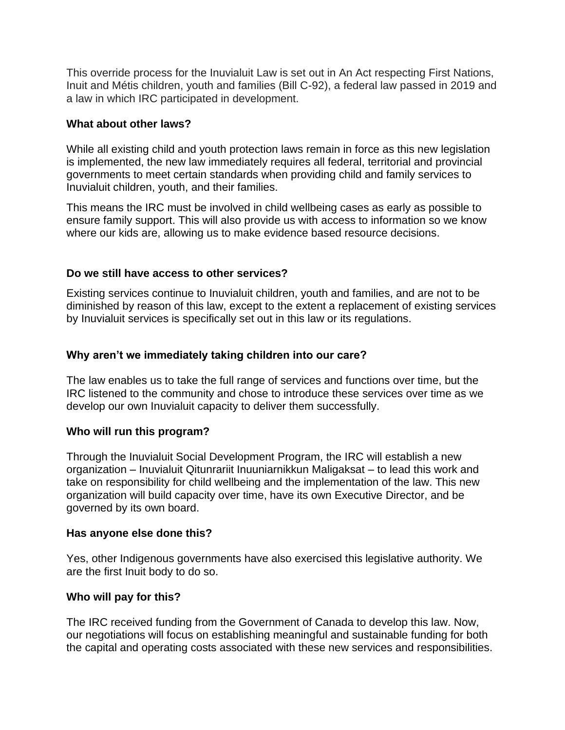This override process for the Inuvialuit Law is set out in An Act respecting First Nations, Inuit and Métis children, youth and families (Bill C-92), a federal law passed in 2019 and a law in which IRC participated in development.

## **What about other laws?**

While all existing child and youth protection laws remain in force as this new legislation is implemented, the new law immediately requires all federal, territorial and provincial governments to meet certain standards when providing child and family services to Inuvialuit children, youth, and their families.

This means the IRC must be involved in child wellbeing cases as early as possible to ensure family support. This will also provide us with access to information so we know where our kids are, allowing us to make evidence based resource decisions.

# **Do we still have access to other services?**

Existing services continue to Inuvialuit children, youth and families, and are not to be diminished by reason of this law, except to the extent a replacement of existing services by Inuvialuit services is specifically set out in this law or its regulations.

# **Why aren't we immediately taking children into our care?**

The law enables us to take the full range of services and functions over time, but the IRC listened to the community and chose to introduce these services over time as we develop our own Inuvialuit capacity to deliver them successfully.

## **Who will run this program?**

Through the Inuvialuit Social Development Program, the IRC will establish a new organization – Inuvialuit Qitunrariit Inuuniarnikkun Maligaksat – to lead this work and take on responsibility for child wellbeing and the implementation of the law. This new organization will build capacity over time, have its own Executive Director, and be governed by its own board.

## **Has anyone else done this?**

Yes, other Indigenous governments have also exercised this legislative authority. We are the first Inuit body to do so.

# **Who will pay for this?**

The IRC received funding from the Government of Canada to develop this law. Now, our negotiations will focus on establishing meaningful and sustainable funding for both the capital and operating costs associated with these new services and responsibilities.